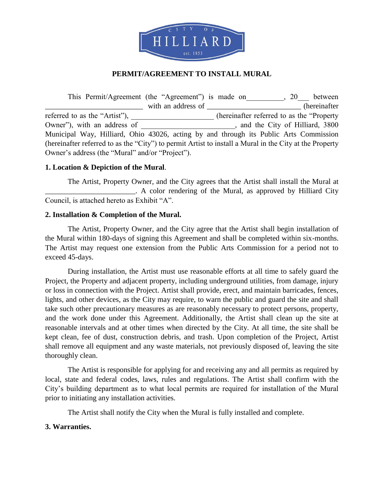

# **PERMIT/AGREEMENT TO INSTALL MURAL**

This Permit/Agreement (the "Agreement") is made on \_\_\_\_\_\_\_, 20\_\_\_ between with an address of the contraction of the contraction of the contraction of the contraction of the contraction of the contraction of the contraction of the contraction of the contraction of the contraction of the contracti referred to as the "Artist"), \_\_\_\_\_\_\_\_\_\_\_\_\_\_\_\_\_\_\_\_\_\_\_\_\_\_\_\_\_\_(hereinafter referred to as the "Property Owner"), with an address of \_\_\_\_\_\_\_\_\_\_\_\_\_\_\_\_\_\_\_\_, and the City of Hilliard, 3800 Municipal Way, Hilliard, Ohio 43026, acting by and through its Public Arts Commission (hereinafter referred to as the "City") to permit Artist to install a Mural in the City at the Property Owner's address (the "Mural" and/or "Project").

#### **1. Location & Depiction of the Mural**.

The Artist, Property Owner, and the City agrees that the Artist shall install the Mural at \_\_\_\_\_\_\_\_\_\_\_\_\_\_\_\_\_\_\_\_\_\_\_\_. A color rendering of the Mural, as approved by Hilliard City Council, is attached hereto as Exhibit "A".

#### **2. Installation & Completion of the Mural.**

The Artist, Property Owner, and the City agree that the Artist shall begin installation of the Mural within 180-days of signing this Agreement and shall be completed within six-months. The Artist may request one extension from the Public Arts Commission for a period not to exceed 45-days.

During installation, the Artist must use reasonable efforts at all time to safely guard the Project, the Property and adjacent property, including underground utilities, from damage, injury or loss in connection with the Project. Artist shall provide, erect, and maintain barricades, fences, lights, and other devices, as the City may require, to warn the public and guard the site and shall take such other precautionary measures as are reasonably necessary to protect persons, property, and the work done under this Agreement. Additionally, the Artist shall clean up the site at reasonable intervals and at other times when directed by the City. At all time, the site shall be kept clean, fee of dust, construction debris, and trash. Upon completion of the Project, Artist shall remove all equipment and any waste materials, not previously disposed of, leaving the site thoroughly clean.

The Artist is responsible for applying for and receiving any and all permits as required by local, state and federal codes, laws, rules and regulations. The Artist shall confirm with the City's building department as to what local permits are required for installation of the Mural prior to initiating any installation activities.

The Artist shall notify the City when the Mural is fully installed and complete.

# **3. Warranties.**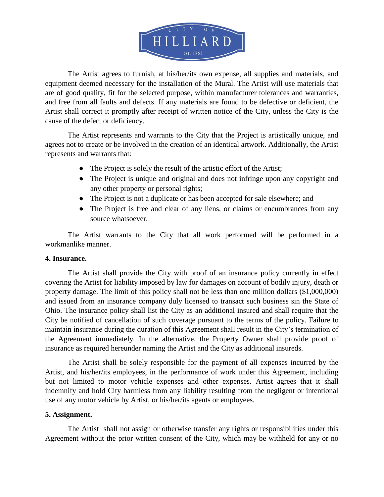

The Artist agrees to furnish, at his/her/its own expense, all supplies and materials, and equipment deemed necessary for the installation of the Mural. The Artist will use materials that are of good quality, fit for the selected purpose, within manufacturer tolerances and warranties, and free from all faults and defects. If any materials are found to be defective or deficient, the Artist shall correct it promptly after receipt of written notice of the City, unless the City is the cause of the defect or deficiency.

The Artist represents and warrants to the City that the Project is artistically unique, and agrees not to create or be involved in the creation of an identical artwork. Additionally, the Artist represents and warrants that:

- The Project is solely the result of the artistic effort of the Artist;
- The Project is unique and original and does not infringe upon any copyright and any other property or personal rights;
- The Project is not a duplicate or has been accepted for sale elsewhere; and
- The Project is free and clear of any liens, or claims or encumbrances from any source whatsoever.

The Artist warrants to the City that all work performed will be performed in a workmanlike manner.

# **4. Insurance.**

The Artist shall provide the City with proof of an insurance policy currently in effect covering the Artist for liability imposed by law for damages on account of bodily injury, death or property damage. The limit of this policy shall not be less than one million dollars (\$1,000,000) and issued from an insurance company duly licensed to transact such business sin the State of Ohio. The insurance policy shall list the City as an additional insured and shall require that the City be notified of cancellation of such coverage pursuant to the terms of the policy. Failure to maintain insurance during the duration of this Agreement shall result in the City's termination of the Agreement immediately. In the alternative, the Property Owner shall provide proof of insurance as required hereunder naming the Artist and the City as additional insureds.

The Artist shall be solely responsible for the payment of all expenses incurred by the Artist, and his/her/its employees, in the performance of work under this Agreement, including but not limited to motor vehicle expenses and other expenses. Artist agrees that it shall indemnify and hold City harmless from any liability resulting from the negligent or intentional use of any motor vehicle by Artist, or his/her/its agents or employees.

# **5. Assignment.**

The Artist shall not assign or otherwise transfer any rights or responsibilities under this Agreement without the prior written consent of the City, which may be withheld for any or no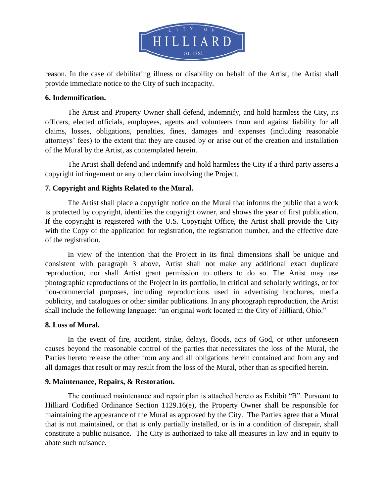

reason. In the case of debilitating illness or disability on behalf of the Artist, the Artist shall provide immediate notice to the City of such incapacity.

#### **6. Indemnification.**

The Artist and Property Owner shall defend, indemnify, and hold harmless the City, its officers, elected officials, employees, agents and volunteers from and against liability for all claims, losses, obligations, penalties, fines, damages and expenses (including reasonable attorneys' fees) to the extent that they are caused by or arise out of the creation and installation of the Mural by the Artist, as contemplated herein.

The Artist shall defend and indemnify and hold harmless the City if a third party asserts a copyright infringement or any other claim involving the Project.

# **7. Copyright and Rights Related to the Mural.**

The Artist shall place a copyright notice on the Mural that informs the public that a work is protected by copyright, identifies the copyright owner, and shows the year of first publication. If the copyright is registered with the U.S. Copyright Office, the Artist shall provide the City with the Copy of the application for registration, the registration number, and the effective date of the registration.

In view of the intention that the Project in its final dimensions shall be unique and consistent with paragraph 3 above, Artist shall not make any additional exact duplicate reproduction, nor shall Artist grant permission to others to do so. The Artist may use photographic reproductions of the Project in its portfolio, in critical and scholarly writings, or for non-commercial purposes, including reproductions used in advertising brochures, media publicity, and catalogues or other similar publications. In any photograph reproduction, the Artist shall include the following language: "an original work located in the City of Hilliard, Ohio."

# **8. Loss of Mural.**

In the event of fire, accident, strike, delays, floods, acts of God, or other unforeseen causes beyond the reasonable control of the parties that necessitates the loss of the Mural, the Parties hereto release the other from any and all obligations herein contained and from any and all damages that result or may result from the loss of the Mural, other than as specified herein.

# **9. Maintenance, Repairs, & Restoration.**

The continued maintenance and repair plan is attached hereto as Exhibit "B". Pursuant to Hilliard Codified Ordinance Section 1129.16(e), the Property Owner shall be responsible for maintaining the appearance of the Mural as approved by the City. The Parties agree that a Mural that is not maintained, or that is only partially installed, or is in a condition of disrepair, shall constitute a public nuisance. The City is authorized to take all measures in law and in equity to abate such nuisance.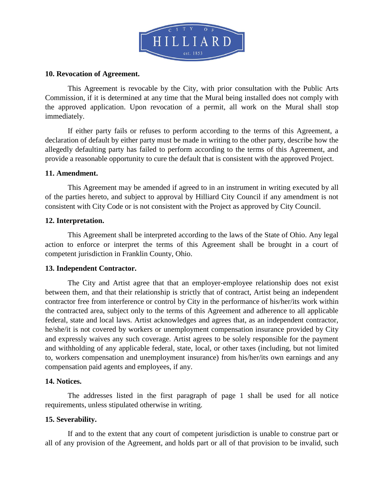

#### **10. Revocation of Agreement.**

This Agreement is revocable by the City, with prior consultation with the Public Arts Commission, if it is determined at any time that the Mural being installed does not comply with the approved application. Upon revocation of a permit, all work on the Mural shall stop immediately.

If either party fails or refuses to perform according to the terms of this Agreement, a declaration of default by either party must be made in writing to the other party, describe how the allegedly defaulting party has failed to perform according to the terms of this Agreement, and provide a reasonable opportunity to cure the default that is consistent with the approved Project.

#### **11. Amendment.**

This Agreement may be amended if agreed to in an instrument in writing executed by all of the parties hereto, and subject to approval by Hilliard City Council if any amendment is not consistent with City Code or is not consistent with the Project as approved by City Council.

#### **12. Interpretation.**

This Agreement shall be interpreted according to the laws of the State of Ohio. Any legal action to enforce or interpret the terms of this Agreement shall be brought in a court of competent jurisdiction in Franklin County, Ohio.

# **13. Independent Contractor.**

The City and Artist agree that that an employer-employee relationship does not exist between them, and that their relationship is strictly that of contract, Artist being an independent contractor free from interference or control by City in the performance of his/her/its work within the contracted area, subject only to the terms of this Agreement and adherence to all applicable federal, state and local laws. Artist acknowledges and agrees that, as an independent contractor, he/she/it is not covered by workers or unemployment compensation insurance provided by City and expressly waives any such coverage. Artist agrees to be solely responsible for the payment and withholding of any applicable federal, state, local, or other taxes (including, but not limited to, workers compensation and unemployment insurance) from his/her/its own earnings and any compensation paid agents and employees, if any.

#### **14. Notices.**

The addresses listed in the first paragraph of page 1 shall be used for all notice requirements, unless stipulated otherwise in writing.

# **15. Severability.**

If and to the extent that any court of competent jurisdiction is unable to construe part or all of any provision of the Agreement, and holds part or all of that provision to be invalid, such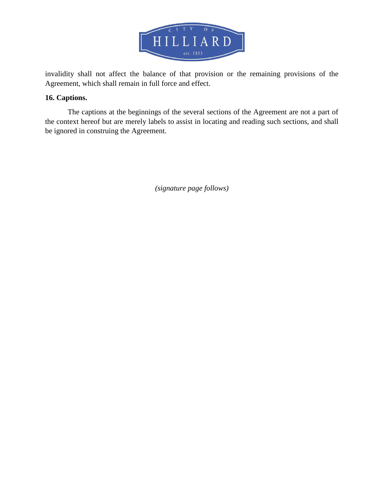

invalidity shall not affect the balance of that provision or the remaining provisions of the Agreement, which shall remain in full force and effect.

# **16. Captions.**

The captions at the beginnings of the several sections of the Agreement are not a part of the context hereof but are merely labels to assist in locating and reading such sections, and shall be ignored in construing the Agreement.

*(signature page follows)*